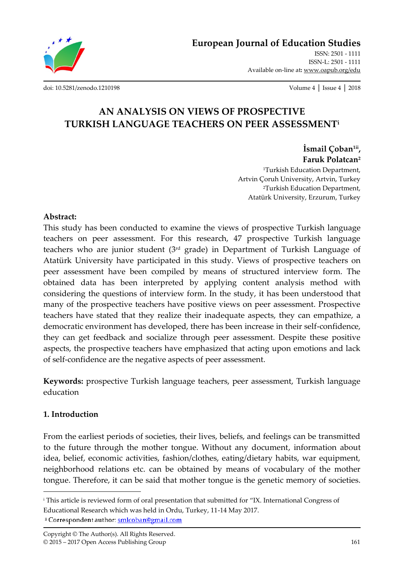

**European Journal of Education Studies**

ISSN: 2501 - 1111 ISSN-L: 2501 - 1111 Available on-line at**:** www.oapub.org/edu

[doi: 10.5281/zenodo.1210198](http://dx.doi.org/10.5281/zenodo.1210198) Volume 4 │ Issue 4 │ 2018

# **AN ANALYSIS ON VIEWS OF PROSPECTIVE TURKISH LANGUAGE TEACHERS ON PEER ASSESSMENT<sup>i</sup>**

**İsmail Çoban1ii , Faruk Polatcan<sup>2</sup>**

<sup>1</sup>Turkish Education Department, Artvin Çoruh University, Artvin, Turkey <sup>2</sup>Turkish Education Department, Atatürk University, Erzurum, Turkey

## **Abstract:**

This study has been conducted to examine the views of prospective Turkish language teachers on peer assessment. For this research, 47 prospective Turkish language teachers who are junior student  $(3<sup>rd</sup>$  grade) in Department of Turkish Language of Atatürk University have participated in this study. Views of prospective teachers on peer assessment have been compiled by means of structured interview form. The obtained data has been interpreted by applying content analysis method with considering the questions of interview form. In the study, it has been understood that many of the prospective teachers have positive views on peer assessment. Prospective teachers have stated that they realize their inadequate aspects, they can empathize, a democratic environment has developed, there has been increase in their self-confidence, they can get feedback and socialize through peer assessment. Despite these positive aspects, the prospective teachers have emphasized that acting upon emotions and lack of self-confidence are the negative aspects of peer assessment.

**Keywords:** prospective Turkish language teachers, peer assessment, Turkish language education

## **1. Introduction**

 $\overline{\phantom{a}}$ 

From the earliest periods of societies, their lives, beliefs, and feelings can be transmitted to the future through the mother tongue. Without any document, information about idea, belief, economic activities, fashion/clothes, eating/dietary habits, war equipment, neighborhood relations etc. can be obtained by means of vocabulary of the mother tongue. Therefore, it can be said that mother tongue is the genetic memory of societies.

<sup>i</sup> This article is reviewed form of oral presentation that submitted for "IX. International Congress of Educational Research which was held in Ordu, Turkey, 11-14 May 2017.<sup>ii</sup> Correspondent author: smlcoban@gmail.com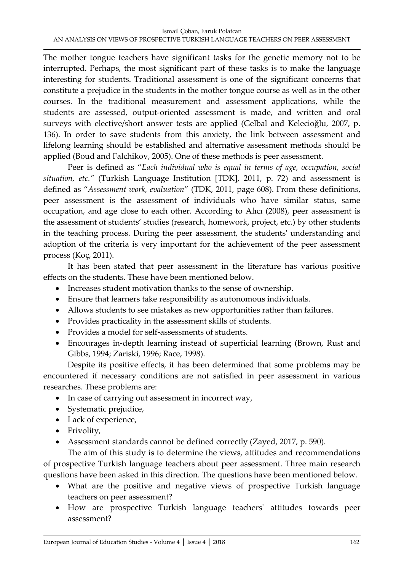The mother tongue teachers have significant tasks for the genetic memory not to be interrupted. Perhaps, the most significant part of these tasks is to make the language interesting for students. Traditional assessment is one of the significant concerns that constitute a prejudice in the students in the mother tongue course as well as in the other courses. In the traditional measurement and assessment applications, while the students are assessed, output-oriented assessment is made, and written and oral surveys with elective/short answer tests are applied (Gelbal and Kelecioğlu, 2007, p. 136). In order to save students from this anxiety, the link between assessment and lifelong learning should be established and alternative assessment methods should be applied (Boud and Falchikov, 2005). One of these methods is peer assessment.

Peer is defined as "*Each individual who is equal in terms of age, occupation, social situation, etc."* (Turkish Language Institution [TDK], 2011, p. 72) and assessment is defined as "*Assessment work, evaluation*" (TDK, 2011, page 608). From these definitions, peer assessment is the assessment of individuals who have similar status, same occupation, and age close to each other. According to Alıcı (2008), peer assessment is the assessment of students' studies (research, homework, project, etc.) by other students in the teaching process. During the peer assessment, the students' understanding and adoption of the criteria is very important for the achievement of the peer assessment process (Koç, 2011).

It has been stated that peer assessment in the literature has various positive effects on the students. These have been mentioned below.

- Increases student motivation thanks to the sense of ownership.
- Ensure that learners take responsibility as autonomous individuals.
- Allows students to see mistakes as new opportunities rather than failures.
- Provides practicality in the assessment skills of students.
- Provides a model for self-assessments of students.
- Encourages in-depth learning instead of superficial learning (Brown, Rust and Gibbs, 1994; Zariski, 1996; Race, 1998).

Despite its positive effects, it has been determined that some problems may be encountered if necessary conditions are not satisfied in peer assessment in various researches. These problems are:

- In case of carrying out assessment in incorrect way,
- Systematic prejudice,
- Lack of experience,
- Frivolity,
- Assessment standards cannot be defined correctly (Zayed, 2017, p. 590).

The aim of this study is to determine the views, attitudes and recommendations of prospective Turkish language teachers about peer assessment. Three main research questions have been asked in this direction. The questions have been mentioned below.

- What are the positive and negative views of prospective Turkish language teachers on peer assessment?
- How are prospective Turkish language teachers' attitudes towards peer assessment?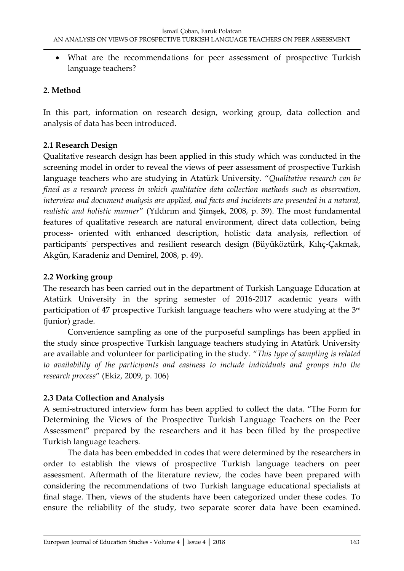What are the recommendations for peer assessment of prospective Turkish language teachers?

## **2. Method**

In this part, information on research design, working group, data collection and analysis of data has been introduced.

## **2.1 Research Design**

Qualitative research design has been applied in this study which was conducted in the screening model in order to reveal the views of peer assessment of prospective Turkish language teachers who are studying in Atatürk University. "*Qualitative research can be fined as a research process in which qualitative data collection methods such as observation, interview and document analysis are applied, and facts and incidents are presented in a natural, realistic and holistic manner*" (Yıldırım and Şimşek, 2008, p. 39). The most fundamental features of qualitative research are natural environment, direct data collection, being process- oriented with enhanced description, holistic data analysis, reflection of participants' perspectives and resilient research design (Büyüköztürk, Kılıç-Çakmak, Akgün, Karadeniz and Demirel, 2008, p. 49).

## **2.2 Working group**

The research has been carried out in the department of Turkish Language Education at Atatürk University in the spring semester of 2016-2017 academic years with participation of 47 prospective Turkish language teachers who were studying at the 3rd (junior) grade.

Convenience sampling as one of the purposeful samplings has been applied in the study since prospective Turkish language teachers studying in Atatürk University are available and volunteer for participating in the study. "*This type of sampling is related to availability of the participants and easiness to include individuals and groups into the research process*" (Ekiz, 2009, p. 106)

## **2.3 Data Collection and Analysis**

A semi-structured interview form has been applied to collect the data. "The Form for Determining the Views of the Prospective Turkish Language Teachers on the Peer Assessment" prepared by the researchers and it has been filled by the prospective Turkish language teachers.

The data has been embedded in codes that were determined by the researchers in order to establish the views of prospective Turkish language teachers on peer assessment. Aftermath of the literature review, the codes have been prepared with considering the recommendations of two Turkish language educational specialists at final stage. Then, views of the students have been categorized under these codes. To ensure the reliability of the study, two separate scorer data have been examined.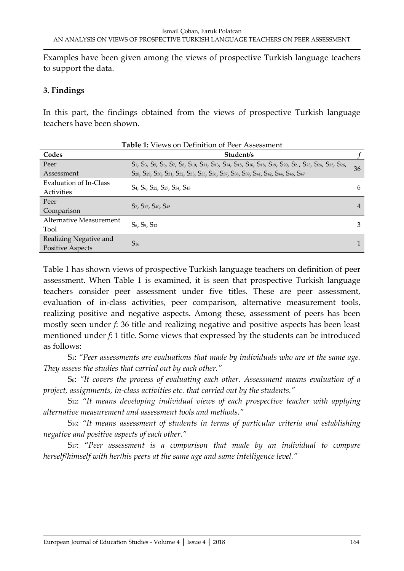Examples have been given among the views of prospective Turkish language teachers to support the data.

#### **3. Findings**

In this part, the findings obtained from the views of prospective Turkish language teachers have been shown.

|                         | <b>Table 1:</b> Views on Definition of Peer Assessment                                                  |    |
|-------------------------|---------------------------------------------------------------------------------------------------------|----|
| Codes                   | Student/s                                                                                               |    |
| Peer                    | S1, S3, S5, S6, S7, S8, S10, S11, S13, S14, S15, S16, S18, S19, S20, S21, S23, S24, S25, S26,           | 36 |
| Assessment              | S28, S29, S30, S31, S32, S33, S35, S36, S37, S38, S39, S41, S42, S44, S46, S47                          |    |
| Evaluation of In-Class  | S <sub>4</sub> , S <sub>6</sub> , S <sub>22</sub> , S <sub>27</sub> , S <sub>34</sub> , S <sub>43</sub> |    |
| Activities              |                                                                                                         | 6  |
| Peer                    | S <sub>2</sub> , S <sub>17</sub> , S <sub>40</sub> , S <sub>45</sub>                                    |    |
| Comparison              |                                                                                                         | 4  |
| Alternative Measurement | S <sub>6</sub> , S <sub>9</sub> , S <sub>12</sub>                                                       | 3  |
| Tool                    |                                                                                                         |    |
| Realizing Negative and  |                                                                                                         |    |
| <b>Positive Aspects</b> | $S_{16}$                                                                                                |    |

Table 1 has shown views of prospective Turkish language teachers on definition of peer assessment. When Table 1 is examined, it is seen that prospective Turkish language teachers consider peer assessment under five titles. These are peer assessment, evaluation of in-class activities, peer comparison, alternative measurement tools, realizing positive and negative aspects. Among these, assessment of peers has been mostly seen under *f*: 36 title and realizing negative and positive aspects has been least mentioned under *f*: 1 title. Some views that expressed by the students can be introduced as follows:

S1: *"Peer assessments are evaluations that made by individuals who are at the same age. They assess the studies that carried out by each other."*

S6: *"It covers the process of evaluating each other. Assessment means evaluation of a project, assignments, in-class activities etc. that carried out by the students."*

S12: *"It means developing individual views of each prospective teacher with applying alternative measurement and assessment tools and methods."*

S16: *"It means assessment of students in terms of particular criteria and establishing negative and positive aspects of each other."*

S<sub>17</sub>: "Peer assessment is a comparison that made by an individual to compare *herself/himself with her/his peers at the same age and same intelligence level."*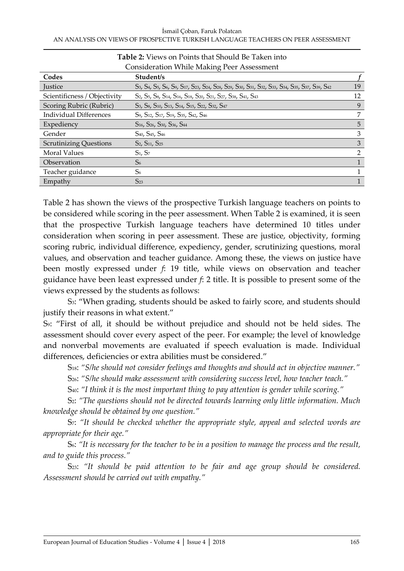| <b>Consideration While Making Peer Assessment</b>                                                                                                                                                                  |                |  |
|--------------------------------------------------------------------------------------------------------------------------------------------------------------------------------------------------------------------|----------------|--|
| Student/s                                                                                                                                                                                                          |                |  |
| S3, S4, S5, S6, S9, S17, S23, S24, S28, S29, S30, S31, S32, S33, S34, S35, S37, S39, S42                                                                                                                           | 19             |  |
| S <sub>2</sub> , S <sub>5</sub> , S <sub>8</sub> , S <sub>14</sub> , S <sub>16</sub> , S <sub>18</sub> , S <sub>20</sub> , S <sub>21</sub> , S <sub>27</sub> , S <sub>38</sub> , S <sub>41</sub> , S <sub>43</sub> | 12             |  |
| S <sub>3</sub> , S <sub>8</sub> , S <sub>10</sub> , S <sub>13</sub> , S <sub>14</sub> , S <sub>15</sub> , S <sub>22</sub> , S <sub>32</sub> , S <sub>47</sub>                                                      | 9              |  |
| S9, S12, S17, S19, S35, S42, S46                                                                                                                                                                                   | 7              |  |
| S <sub>16</sub> , S <sub>26</sub> , S <sub>30</sub> , S <sub>36</sub> , S <sub>44</sub>                                                                                                                            | 5              |  |
| S <sub>40</sub> , S <sub>45</sub> , S <sub>46</sub>                                                                                                                                                                | 3              |  |
| S <sub>2</sub> , S <sub>11</sub> , S <sub>25</sub>                                                                                                                                                                 | 3              |  |
| $S_1, S_7$                                                                                                                                                                                                         | $\mathfrak{D}$ |  |
| S <sub>6</sub>                                                                                                                                                                                                     | 1              |  |
| S <sub>6</sub>                                                                                                                                                                                                     |                |  |
| $S_{23}$                                                                                                                                                                                                           |                |  |
|                                                                                                                                                                                                                    |                |  |

**Table 2:** Views on Points that Should Be Taken into

Table 2 has shown the views of the prospective Turkish language teachers on points to be considered while scoring in the peer assessment. When Table 2 is examined, it is seen that the prospective Turkish language teachers have determined 10 titles under consideration when scoring in peer assessment. These are justice, objectivity, forming scoring rubric, individual difference, expediency, gender, scrutinizing questions, moral values, and observation and teacher guidance. Among these, the views on justice have been mostly expressed under *f*: 19 title, while views on observation and teacher guidance have been least expressed under *f*: 2 title. It is possible to present some of the views expressed by the students as follows:

S3: "When grading, students should be asked to fairly score, and students should justify their reasons in what extent."

S9: "First of all, it should be without prejudice and should not be held sides. The assessment should cover every aspect of the peer. For example; the level of knowledge and nonverbal movements are evaluated if speech evaluation is made. Individual differences, deficiencies or extra abilities must be considered."

S18: *"S/he should not consider feelings and thoughts and should act in objective manner."*

S26: *"S/he should make assessment with considering success level, how teacher teach."*

S40: *"I think it is the most important thing to pay attention is gender while scoring."*

S2: *"The questions should not be directed towards learning only little information. Much knowledge should be obtained by one question."*

S7: *"It should be checked whether the appropriate style, appeal and selected words are appropriate for their age."*

S6: *"It is necessary for the teacher to be in a position to manage the process and the result, and to guide this process."*

S<sub>23</sub>: "It should be paid attention to be fair and age group should be considered. *Assessment should be carried out with empathy."*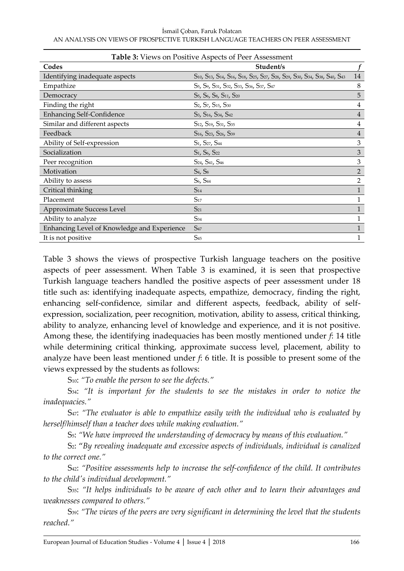| <b>Table 3:</b> Views on Positive Aspects of Peer Assessment |                                                                                                                                             |                |  |  |
|--------------------------------------------------------------|---------------------------------------------------------------------------------------------------------------------------------------------|----------------|--|--|
| Codes                                                        | Student/s                                                                                                                                   |                |  |  |
| Identifying inadequate aspects                               | S10, S13, S14, S16, S18, S25, S27, S28, S29, S30, S34, S38, S40, S43                                                                        | 14             |  |  |
| Empathize                                                    | S <sub>5</sub> , S <sub>9</sub> , S <sub>31</sub> , S <sub>32</sub> , S <sub>33</sub> , S <sub>36</sub> , S <sub>37</sub> , S <sub>47</sub> | 8              |  |  |
| Democracy                                                    | S <sub>5</sub> , S <sub>6</sub> , S <sub>8</sub> , S <sub>11</sub> , S <sub>20</sub>                                                        | 5              |  |  |
| Finding the right                                            | S <sub>2</sub> , S <sub>7</sub> , S <sub>15</sub> , S <sub>30</sub>                                                                         | 4              |  |  |
| <b>Enhancing Self-Confidence</b>                             | S <sub>3</sub> , S <sub>16</sub> , S <sub>34</sub> , S <sub>42</sub>                                                                        | 4              |  |  |
| Similar and different aspects                                | S <sub>12</sub> , S <sub>19</sub> , S <sub>31</sub> , S <sub>35</sub>                                                                       | 4              |  |  |
| Feedback                                                     | S <sub>16</sub> , S <sub>23</sub> , S <sub>26</sub> , S <sub>39</sub>                                                                       | $\overline{4}$ |  |  |
| Ability of Self-expression                                   | S <sub>1</sub> , S <sub>27</sub> , S <sub>44</sub>                                                                                          | 3              |  |  |
| Socialization                                                | S <sub>1</sub> , S <sub>6</sub> , S <sub>22</sub>                                                                                           | 3              |  |  |
| Peer recognition                                             | S <sub>24</sub> , S <sub>41</sub> , S <sub>46</sub>                                                                                         | 3              |  |  |
| Motivation                                                   | S <sub>4</sub> , S <sub>8</sub>                                                                                                             | 2              |  |  |
| Ability to assess                                            | S <sub>6</sub> , S <sub>44</sub>                                                                                                            | $\overline{2}$ |  |  |
| Critical thinking                                            | $S_{14}$                                                                                                                                    | 1              |  |  |
| Placement                                                    | $S_{17}$                                                                                                                                    | 1              |  |  |
| Approximate Success Level                                    | $S_{21}$                                                                                                                                    | 1              |  |  |
| Ability to analyze                                           | S <sub>34</sub>                                                                                                                             | 1              |  |  |
| Enhancing Level of Knowledge and Experience                  | S <sub>47</sub>                                                                                                                             |                |  |  |
| It is not positive                                           | $S_{45}$                                                                                                                                    | 1              |  |  |

Table 3 shows the views of prospective Turkish language teachers on the positive aspects of peer assessment. When Table 3 is examined, it is seen that prospective Turkish language teachers handled the positive aspects of peer assessment under 18 title such as: identifying inadequate aspects, empathize, democracy, finding the right, enhancing self-confidence, similar and different aspects, feedback, ability of selfexpression, socialization, peer recognition, motivation, ability to assess, critical thinking, ability to analyze, enhancing level of knowledge and experience, and it is not positive. Among these, the identifying inadequacies has been mostly mentioned under *f*: 14 title while determining critical thinking, approximate success level, placement, ability to analyze have been least mentioned under *f*: 6 title. It is possible to present some of the views expressed by the students as follows:

S10: *"To enable the person to see the defects."*

S34: *"It is important for the students to see the mistakes in order to notice the inadequacies."*

S47: *"The evaluator is able to empathize easily with the individual who is evaluated by herself/himself than a teacher does while making evaluation."*

S5: *"We have improved the understanding of democracy by means of this evaluation."*

S2: "*By revealing inadequate and excessive aspects of individuals, individual is canalized to the correct one."*

S42: *"Positive assessments help to increase the self-confidence of the child. It contributes to the child's individual development."*

S35: *"It helps individuals to be aware of each other and to learn their advantages and weaknesses compared to others."*

S39: *"The views of the peers are very significant in determining the level that the students reached."*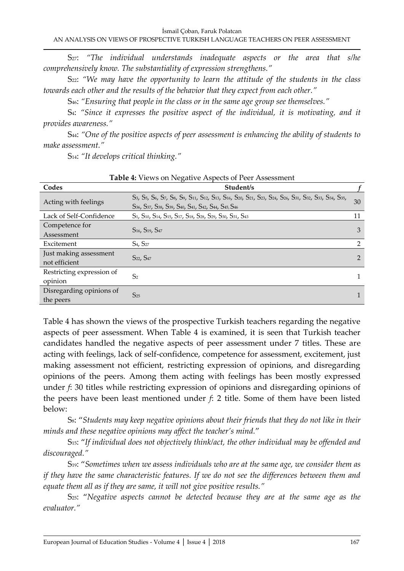S27: *"The individual understands inadequate aspects or the area that s/he comprehensively know. The substantiality of expression strengthens."*

S22: *"We may have the opportunity to learn the attitude of the students in the class towards each other and the results of the behavior that they expect from each other."*

S46: *"Ensuring that people in the class or in the same age group see themselves."*

S4: *"Since it expresses the positive aspect of the individual, it is motivating, and it provides awareness."*

S44: *"One of the positive aspects of peer assessment is enhancing the ability of students to make assessment."*

S14: *"It develops critical thinking."*

| Codes                                   | <b>Table 4.</b> YIEWS OILINE GAINE ASPECIS OF LEEL ASSESSMENT<br>Student/s                                                                                                                                                                                                         |                |
|-----------------------------------------|------------------------------------------------------------------------------------------------------------------------------------------------------------------------------------------------------------------------------------------------------------------------------------|----------------|
| Acting with feelings                    | S3, S5, S6, S7, S8, S9, S11, S12, S13, S16, S20, S21, S23, S24, S26, S31, S32, S33, S34, S35,<br>S <sub>36</sub> , S <sub>37</sub> , S <sub>38</sub> , S <sub>39</sub> , S <sub>40</sub> , S <sub>41</sub> , S <sub>42</sub> , S <sub>44</sub> , S <sub>45</sub> , S <sub>46</sub> | 30             |
| Lack of Self-Confidence                 | S <sub>1</sub> , S <sub>10</sub> , S <sub>14</sub> , S <sub>15</sub> , S <sub>17</sub> , S <sub>18</sub> , S <sub>28</sub> , S <sub>29</sub> , S <sub>30</sub> , S <sub>31</sub> , S <sub>43</sub>                                                                                 | 11             |
| Competence for<br>Assessment            | S <sub>16</sub> , S <sub>19</sub> , S <sub>47</sub>                                                                                                                                                                                                                                | 3              |
| Excitement                              | S <sub>4</sub> , S <sub>27</sub>                                                                                                                                                                                                                                                   | $\mathfrak{D}$ |
| Just making assessment<br>not efficient | S <sub>22</sub> , S <sub>47</sub>                                                                                                                                                                                                                                                  | $\overline{2}$ |
| Restricting expression of<br>opinion    | S <sub>2</sub>                                                                                                                                                                                                                                                                     |                |
| Disregarding opinions of<br>the peers   | $S_{25}$                                                                                                                                                                                                                                                                           |                |

**Table 4:** Views on Negative Aspects of Peer Assessment

Table 4 has shown the views of the prospective Turkish teachers regarding the negative aspects of peer assessment. When Table 4 is examined, it is seen that Turkish teacher candidates handled the negative aspects of peer assessment under 7 titles. These are acting with feelings, lack of self-confidence, competence for assessment, excitement, just making assessment not efficient, restricting expression of opinions, and disregarding opinions of the peers. Among them acting with feelings has been mostly expressed under *f*: 30 titles while restricting expression of opinions and disregarding opinions of the peers have been least mentioned under *f*: 2 title. Some of them have been listed below:

S8: "*Students may keep negative opinions about their friends that they do not like in their minds and these negative opinions may affect the teacher's mind.*"

S15: "*If individual does not objectively think/act, the other individual may be offended and discouraged."*

S19: "*Sometimes when we assess individuals who are at the same age, we consider them as if they have the same characteristic features. If we do not see the differences between them and equate them all as if they are same, it will not give positive results."*

S25: "*Negative aspects cannot be detected because they are at the same age as the evaluator."*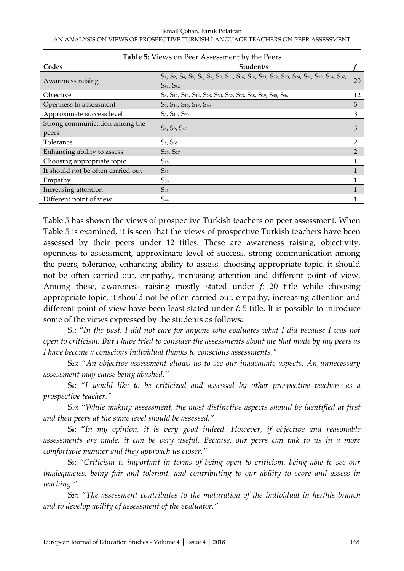İsmail Çoban, Faruk Polatcan AN ANALYSIS ON VIEWS OF PROSPECTIVE TURKISH LANGUAGE TEACHERS ON PEER ASSESSMENT

| <b>Table 5:</b> Views on Peer Assessment by the Peers |                                                                                                                         |                |  |
|-------------------------------------------------------|-------------------------------------------------------------------------------------------------------------------------|----------------|--|
| Codes                                                 | Student/s                                                                                                               |                |  |
| Awareness raising                                     | S1, S2, S4, S5, S6, S7, S9, S11, S16, S18, S21, S22, S23, S24, S26, S29, S34, S37,<br>S <sub>41</sub> , S <sub>42</sub> | 20             |  |
| Objective                                             | S8, S12, S13, S14, S28, S30, S32, S33, S38, S39, S40, S46                                                               | 12             |  |
| Openness to assessment                                | S <sub>6</sub> , S <sub>10</sub> , S <sub>16</sub> , S <sub>17</sub> , S <sub>45</sub>                                  | 5              |  |
| Approximate success level                             | S <sub>3</sub> , S <sub>19</sub> , S <sub>20</sub>                                                                      | 3              |  |
| Strong communication among the<br>peers               | S <sub>8</sub> , S <sub>9</sub> , S <sub>47</sub>                                                                       | 3              |  |
| Tolerance                                             | S <sub>5</sub> , S <sub>35</sub>                                                                                        | $\overline{2}$ |  |
| Enhancing ability to assess                           | S <sub>25</sub> , S <sub>27</sub>                                                                                       | $\mathfrak{D}$ |  |
| Choosing appropriate topic                            | $S_{15}$                                                                                                                |                |  |
| It should not be often carried out                    | $S_{31}$                                                                                                                |                |  |
| Empathy                                               | $S_{36}$                                                                                                                |                |  |
| Increasing attention                                  | S <sub>43</sub>                                                                                                         |                |  |
| Different point of view                               | $S_{44}$                                                                                                                |                |  |

Table 5 has shown the views of prospective Turkish teachers on peer assessment. When Table 5 is examined, it is seen that the views of prospective Turkish teachers have been assessed by their peers under 12 titles. These are awareness raising, objectivity, openness to assessment, approximate level of success, strong communication among the peers, tolerance, enhancing ability to assess, choosing appropriate topic, it should not be often carried out, empathy, increasing attention and different point of view. Among these, awareness raising mostly stated under *f*: 20 title while choosing appropriate topic, it should not be often carried out, empathy, increasing attention and different point of view have been least stated under *f*: 5 title. It is possible to introduce some of the views expressed by the students as follows:

S1: "*In the past, I did not care for anyone who evaluates what I did because I was not open to criticism. But I have tried to consider the assessments about me that made by my peers as I have become a conscious individual thanks to conscious assessments."*

S<sub>25</sub>: "An objective assessment allows us to see our inadequate aspects. An unnecessary *assessment may cause being abashed."*

S6: "*I would like to be criticized and assessed by other prospective teachers as a prospective teacher."*

S19: "*While making assessment, the most distinctive aspects should be identified at first and then peers at the same level should be assessed."*

S8: "*In my opinion, it is very good indeed. However, if objective and reasonable assessments are made, it can be very useful. Because, our peers can talk to us in a more comfortable manner and they approach us closer."*

S5: "*Criticism is important in terms of being open to criticism, being able to see our inadequacies, being fair and tolerant, and contributing to our ability to score and assess in teaching."*

S<sub>27</sub>: "The assessment contributes to the maturation of the individual in her/his branch *and to develop ability of assessment of the evaluator."*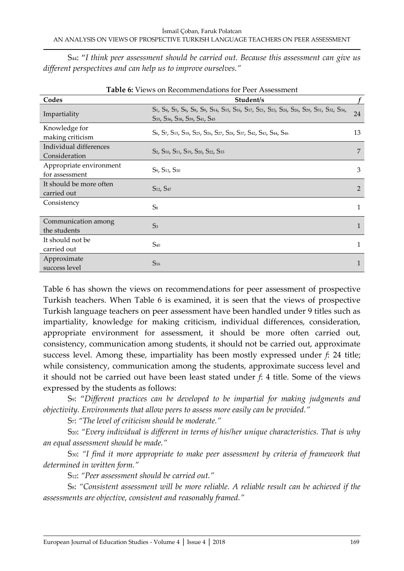S44: "*I think peer assessment should be carried out. Because this assessment can give us different perspectives and can help us to improve ourselves."*

| Table 0. The WS On Increditmichaations for I cell Assessment |                                                                                                                                                                                                                                       |                |
|--------------------------------------------------------------|---------------------------------------------------------------------------------------------------------------------------------------------------------------------------------------------------------------------------------------|----------------|
| Codes                                                        | Student/s                                                                                                                                                                                                                             |                |
| Impartiality                                                 | S1, S4, S5, S6, S8, S9, S14, S15, S16, S17, S21, S23, S24, S26, S29, S31, S32, S34,<br>S35, S36, S38, S39, S41, S45                                                                                                                   | 24             |
| Knowledge for<br>making criticism                            | S <sub>6</sub> , S <sub>7</sub> , S <sub>15</sub> , S <sub>18</sub> , S <sub>25</sub> , S <sub>26</sub> , S <sub>27</sub> , S <sub>28</sub> , S <sub>37</sub> , S <sub>42</sub> , S <sub>43</sub> , S <sub>44</sub> , S <sub>46</sub> | 13             |
| Individual differences<br>Consideration                      | S <sub>2</sub> , S <sub>10</sub> , S <sub>11</sub> , S <sub>19</sub> , S <sub>20</sub> , S <sub>22</sub> , S <sub>33</sub>                                                                                                            | 7              |
| Appropriate environment<br>for assessment                    | S <sub>9</sub> , S <sub>13</sub> , S <sub>30</sub>                                                                                                                                                                                    | 3              |
| It should be more often<br>carried out                       | S <sub>12</sub> , S <sub>47</sub>                                                                                                                                                                                                     | $\overline{2}$ |
| Consistency                                                  | S <sub>8</sub>                                                                                                                                                                                                                        | 1              |
| Communication among<br>the students                          | S <sub>3</sub>                                                                                                                                                                                                                        | $\mathbf{1}$   |
| It should not be<br>carried out                              | $S_{40}$                                                                                                                                                                                                                              | 1              |
| Approximate<br>success level                                 | $S_{16}$                                                                                                                                                                                                                              | $\mathbf{1}$   |

| Table 6: Views on Recommendations for Peer Assessment |
|-------------------------------------------------------|
|                                                       |

Table 6 has shown the views on recommendations for peer assessment of prospective Turkish teachers. When Table 6 is examined, it is seen that the views of prospective Turkish language teachers on peer assessment have been handled under 9 titles such as impartiality, knowledge for making criticism, individual differences, consideration, appropriate environment for assessment, it should be more often carried out, consistency, communication among students, it should not be carried out, approximate success level. Among these, impartiality has been mostly expressed under *f*: 24 title; while consistency, communication among the students, approximate success level and it should not be carried out have been least stated under *f*: 4 title. Some of the views expressed by the students as follows:

S9: "*Different practices can be developed to be impartial for making judgments and objectivity. Environments that allow peers to assess more easily can be provided."*

S7: *"The level of criticism should be moderate."*

S<sub>20</sub>: "*Every individual is different in terms of his/her unique characteristics. That is why an equal assessment should be made."*

S30: *"I find it more appropriate to make peer assessment by criteria of framework that determined in written form."*

S12: *"Peer assessment should be carried out."*

S8: *"Consistent assessment will be more reliable. A reliable result can be achieved if the assessments are objective, consistent and reasonably framed."*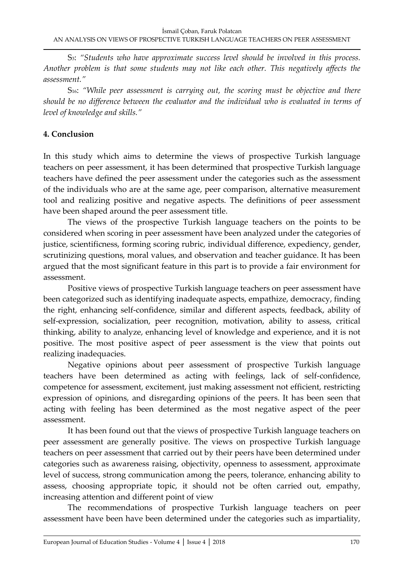S3: *"Students who have approximate success level should be involved in this process. Another problem is that some students may not like each other. This negatively affects the assessment."*

S16: *"While peer assessment is carrying out, the scoring must be objective and there should be no difference between the evaluator and the individual who is evaluated in terms of level of knowledge and skills."*

#### **4. Conclusion**

In this study which aims to determine the views of prospective Turkish language teachers on peer assessment, it has been determined that prospective Turkish language teachers have defined the peer assessment under the categories such as the assessment of the individuals who are at the same age, peer comparison, alternative measurement tool and realizing positive and negative aspects. The definitions of peer assessment have been shaped around the peer assessment title.

The views of the prospective Turkish language teachers on the points to be considered when scoring in peer assessment have been analyzed under the categories of justice, scientificness, forming scoring rubric, individual difference, expediency, gender, scrutinizing questions, moral values, and observation and teacher guidance. It has been argued that the most significant feature in this part is to provide a fair environment for assessment.

Positive views of prospective Turkish language teachers on peer assessment have been categorized such as identifying inadequate aspects, empathize, democracy, finding the right, enhancing self-confidence, similar and different aspects, feedback, ability of self-expression, socialization, peer recognition, motivation, ability to assess, critical thinking, ability to analyze, enhancing level of knowledge and experience, and it is not positive. The most positive aspect of peer assessment is the view that points out realizing inadequacies.

Negative opinions about peer assessment of prospective Turkish language teachers have been determined as acting with feelings, lack of self-confidence, competence for assessment, excitement, just making assessment not efficient, restricting expression of opinions, and disregarding opinions of the peers. It has been seen that acting with feeling has been determined as the most negative aspect of the peer assessment.

It has been found out that the views of prospective Turkish language teachers on peer assessment are generally positive. The views on prospective Turkish language teachers on peer assessment that carried out by their peers have been determined under categories such as awareness raising, objectivity, openness to assessment, approximate level of success, strong communication among the peers, tolerance, enhancing ability to assess, choosing appropriate topic, it should not be often carried out, empathy, increasing attention and different point of view

The recommendations of prospective Turkish language teachers on peer assessment have been have been determined under the categories such as impartiality,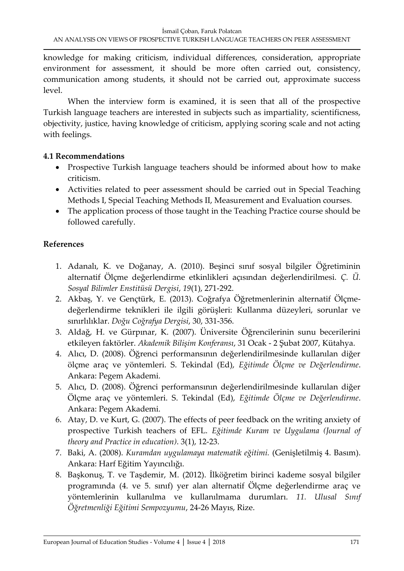knowledge for making criticism, individual differences, consideration, appropriate environment for assessment, it should be more often carried out, consistency, communication among students, it should not be carried out, approximate success level.

When the interview form is examined, it is seen that all of the prospective Turkish language teachers are interested in subjects such as impartiality, scientificness, objectivity, justice, having knowledge of criticism, applying scoring scale and not acting with feelings.

## **4.1 Recommendations**

- Prospective Turkish language teachers should be informed about how to make criticism.
- Activities related to peer assessment should be carried out in Special Teaching Methods I, Special Teaching Methods II, Measurement and Evaluation courses.
- The application process of those taught in the Teaching Practice course should be followed carefully.

# **References**

- 1. Adanalı, K. ve Doğanay, A. (2010). Beşinci sınıf sosyal bilgiler Öğretiminin alternatif Ölçme değerlendirme etkinlikleri açısından değerlendirilmesi. *Ç. Ü. Sosyal Bilimler Enstitüsü Dergisi*, *19*(1), 271-292.
- 2. Akbaş, Y. ve Gençtürk, E. (2013). Coğrafya Öğretmenlerinin alternatif Ölçmedeğerlendirme teknikleri ile ilgili görüşleri: Kullanma düzeyleri, sorunlar ve sınırlılıklar. *Doğu Coğrafya Dergisi*, 30, 331-356.
- 3. Aldağ, H. ve Gürpınar, K. (2007). Üniversite Öğrencilerinin sunu becerilerini etkileyen faktörler. *Akademik Bilişim Konferansı*, 31 Ocak - 2 Şubat 2007, Kütahya.
- 4. Alıcı, D. (2008). Öğrenci performansının değerlendirilmesinde kullanılan diğer ölçme araç ve yöntemleri. S. Tekindal (Ed), *Eğitimde Ölçme ve Değerlendirme*. Ankara: Pegem Akademi.
- 5. Alıcı, D. (2008). Öğrenci performansının değerlendirilmesinde kullanılan diğer Ölçme araç ve yöntemleri. S. Tekindal (Ed), *Eğitimde Ölçme ve Değerlendirme*. Ankara: Pegem Akademi.
- 6. Atay, D. ve Kurt, G. (2007). The effects of peer feedback on the writing anxiety of prospective Turkish teachers of EFL. *Eğitimde Kuram ve Uygulama (Journal of theory and Practice in education)*. 3(1), 12-23.
- 7. Baki, A. (2008). *Kuramdan uygulamaya matematik eğitimi.* (Genişletilmiş 4. Basım). Ankara: Harf Eğitim Yayıncılığı.
- 8. Başkonuş, T. ve Taşdemir, M. (2012). İlköğretim birinci kademe sosyal bilgiler programında (4. ve 5. sınıf) yer alan alternatif Ölçme değerlendirme araç ve yöntemlerinin kullanılma ve kullanılmama durumları. *11. Ulusal Sınıf Öğretmenliği Eğitimi Sempozyumu*, 24-26 Mayıs, Rize.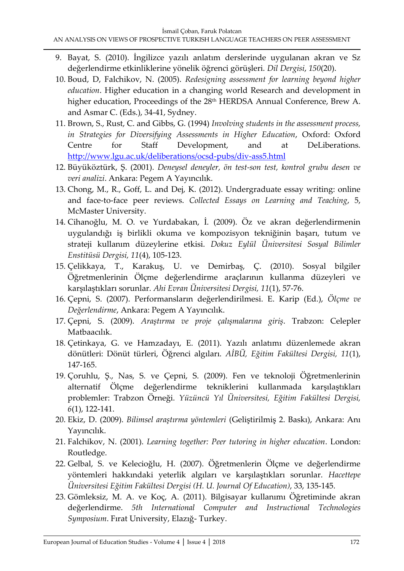- 9. Bayat, S. (2010). İngilizce yazılı anlatım derslerinde uygulanan akran ve Sz değerlendirme etkinliklerine yönelik öğrenci görüşleri. *Dil Dergisi*, *150*(20).
- 10. Boud, D, Falchikov, N. (2005). *Redesigning assessment for learning beyond higher education*. Higher education in a changing world Research and development in higher education, Proceedings of the 28<sup>th</sup> HERDSA Annual Conference, Brew A. and Asmar C. (Eds.), 34-41, Sydney.
- 11. Brown, S., Rust, C. and Gibbs, G. (1994) *Involving students in the assessment process, in Strategies for Diversifying Assessments in Higher Education*, Oxford: Oxford Centre for Staff Development, and at DeLiberations. <http://www.lgu.ac.uk/deliberations/ocsd-pubs/div-ass5.html>
- 12. Büyüköztürk, Ş. (2001). *Deneysel deneyler, ön test-son test, kontrol grubu desen ve veri analizi*. Ankara: Pegem A Yayıncılık.
- 13. Chong, M., R., Goff, L. and Dej, K. (2012). Undergraduate essay writing: online and face-to-face peer reviews. *Collected Essays on Learning and Teaching*, 5, McMaster University.
- 14. Cihanoğlu, M. O. ve Yurdabakan, İ. (2009). Öz ve akran değerlendirmenin uygulandığı iş birlikli okuma ve kompozisyon tekniğinin başarı, tutum ve strateji kullanım düzeylerine etkisi. *Dokuz Eylül Üniversitesi Sosyal Bilimler Enstitüsü Dergisi, 11*(4), 105-123.
- 15. Çelikkaya, T., Karakuş, U. ve Demirbaş, Ç. (2010). Sosyal bilgiler Öğretmenlerinin Ölçme değerlendirme araçlarının kullanma düzeyleri ve karşılaştıkları sorunlar. *Ahi Evran Üniversitesi Dergisi, 11*(1), 57-76.
- 16. Çepni, S. (2007). Performansların değerlendirilmesi. E. Karip (Ed.), *Ölçme ve Değerlendirme*, Ankara: Pegem A Yayıncılık.
- 17. Çepni, S. (2009). *Araştırma ve proje çalışmalarına giriş*. Trabzon: Celepler Matbaacılık.
- 18. Çetinkaya, G. ve Hamzadayı, E. (2011). Yazılı anlatımı düzenlemede akran dönütleri: Dönüt türleri, Öğrenci algıları. *AİBÜ, Eğitim Fakültesi Dergisi, 11*(1), 147-165.
- 19. Çoruhlu, Ş., Nas, S. ve Çepni, S. (2009). Fen ve teknoloji Öğretmenlerinin alternatif Ölçme değerlendirme tekniklerini kullanmada karşılaştıkları problemler: Trabzon Örneği. *Yüzüncü Yıl Üniversitesi, Eğitim Fakültesi Dergisi, 6*(1), 122-141.
- 20. Ekiz, D. (2009). *Bilimsel araştırma yöntemleri* (Geliştirilmiş 2. Baskı), Ankara: Anı Yayıncılık.
- 21. Falchikov, N. (2001). *Learning together: Peer tutoring in higher education*. London: Routledge.
- 22. Gelbal, S. ve Kelecioğlu, H. (2007). Öğretmenlerin Ölçme ve değerlendirme yöntemleri hakkındaki yeterlik algıları ve karşılaştıkları sorunlar. *Hacettepe Üniversitesi Eğitim Fakültesi Dergisi (H. U. Journal Of Education)*, 33, 135-145.
- 23. Gömleksiz, M. A. ve Koç, A. (2011). Bilgisayar kullanımı Öğretiminde akran değerlendirme. *5th International Computer and Instructional Technologies Symposium*. Fırat University, Elazığ- Turkey.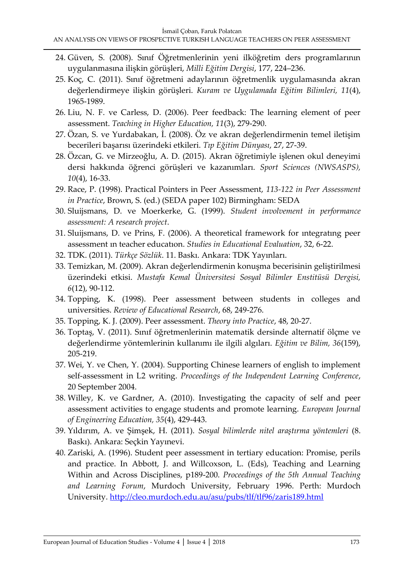- 24. Güven, S. (2008). Sınıf Öğretmenlerinin yeni ilköğretim ders programlarının uygulanmasına ilişkin görüşleri, *Milli Eğitim Dergisi*, 177, 224–236.
- 25. Koç, C. (2011). Sınıf öğretmeni adaylarının öğretmenlik uygulamasında akran değerlendirmeye ilişkin görüşleri. *Kuram ve Uygulamada Eğitim Bilimleri, 11*(4), 1965-1989.
- 26. Liu, N. F. ve Carless, D. (2006). Peer feedback: The learning element of peer assessment. *Teaching in Higher Education, 11*(3), 279-290.
- 27. Özan, S. ve Yurdabakan, İ. (2008). Öz ve akran değerlendirmenin temel iletişim becerileri başarısı üzerindeki etkileri. *Tıp Eğitim Dünyası*, 27, 27-39.
- 28. Özcan, G. ve Mirzeoğlu, A. D. (2015). Akran öğretimiyle işlenen okul deneyimi dersi hakkında öğrenci görüşleri ve kazanımları. *Sport Sciences (NWSASPS), 10*(4), 16-33.
- 29. Race, P. (1998). Practical Pointers in Peer Assessment, *113-122 in Peer Assessment in Practice*, Brown, S. (ed.) (SEDA paper 102) Birmingham: SEDA
- 30. Sluijsmans, D. ve Moerkerke, G. (1999). *Student involvement in performance assessment: A research project*.
- 31. Sluijsmans, D. ve Prins, F. (2006). A theoretical framework for ıntegratıng peer assessment ın teacher educatıon. *Studies in Educational Evaluation*, 32, 6-22.
- 32. TDK. (2011). *Türkçe Sözlük*. 11. Baskı. Ankara: TDK Yayınları.
- 33. Temizkan, M. (2009). Akran değerlendirmenin konuşma becerisinin geliştirilmesi üzerindeki etkisi. *Mustafa Kemal Üniversitesi Sosyal Bilimler Enstitüsü Dergisi, 6*(12), 90-112.
- 34. Topping, K. (1998). Peer assessment between students in colleges and universities. *Review of Educational Research*, 68, 249-276.
- 35. Topping, K. J. (2009). Peer assessment. *Theory into Practice*, 48, 20-27.
- 36. Toptaş, V. (2011). Sınıf öğretmenlerinin matematik dersinde alternatif ölçme ve değerlendirme yöntemlerinin kullanımı ile ilgili algıları. *Eğitim ve Bilim, 36*(159), 205-219.
- 37. Wei, Y. ve Chen, Y. (2004). Supporting Chinese learners of english to implement self-assessment in L2 writing. *Proceedings of the Independent Learning Conference*, 20 September 2004.
- 38. Willey, K. ve Gardner, A. (2010). Investigating the capacity of self and peer assessment activities to engage students and promote learning. *European Journal of Engineering Education, 35*(4), 429-443.
- 39. Yıldırım, A. ve Şimşek, H. (2011). *Sosyal bilimlerde nitel araştırma yöntemleri* (8. Baskı). Ankara: Seçkin Yayınevi.
- 40. Zariski, A. (1996). Student peer assessment in tertiary education: Promise, perils and practice. In Abbott, J. and Willcoxson, L. (Eds), Teaching and Learning Within and Across Disciplines, p189-200. *Proceedings of the 5th Annual Teaching and Learning Forum*, Murdoch University, February 1996. Perth: Murdoch University.<http://cleo.murdoch.edu.au/asu/pubs/tlf/tlf96/zaris189.html>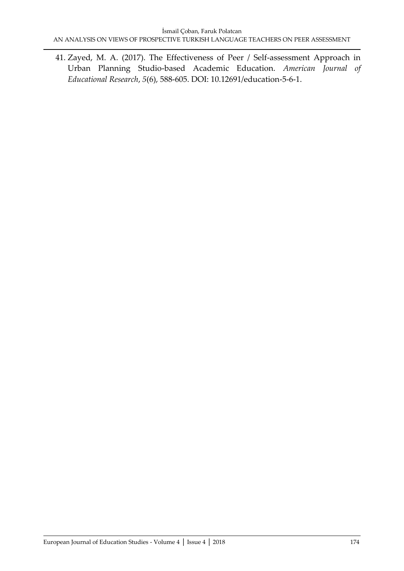41. Zayed, M. A. (2017). The Effectiveness of Peer / Self-assessment Approach in Urban Planning Studio-based Academic Education. *American Journal of Educational Research*, *5*(6), 588-605. DOI: 10.12691/education-5-6-1.